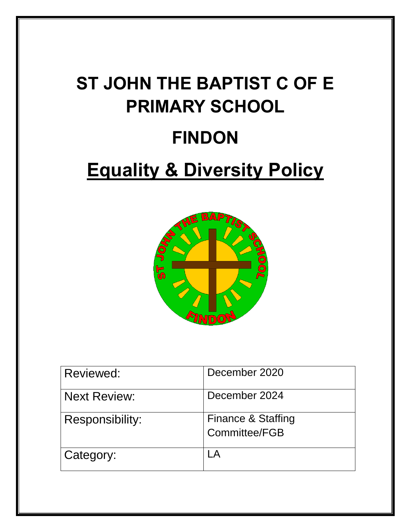# **ST JOHN THE BAPTIST C OF E PRIMARY SCHOOL FINDON**

# **Equality & Diversity Policy**



| Reviewed:              | December 2020                       |
|------------------------|-------------------------------------|
| <b>Next Review:</b>    | December 2024                       |
| <b>Responsibility:</b> | Finance & Staffing<br>Committee/FGB |
| Category:              |                                     |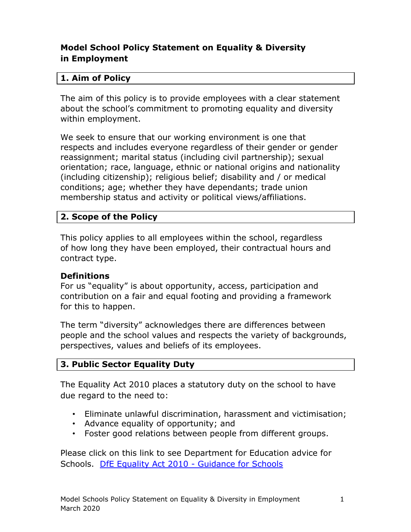## **Model School Policy Statement on Equality & Diversity in Employment**

#### **1. Aim of Policy**

The aim of this policy is to provide employees with a clear statement about the school's commitment to promoting equality and diversity within employment.

We seek to ensure that our working environment is one that respects and includes everyone regardless of their gender or gender reassignment; marital status (including civil partnership); sexual orientation; race, language, ethnic or national origins and nationality (including citizenship); religious belief; disability and / or medical conditions; age; whether they have dependants; trade union membership status and activity or political views/affiliations.

#### **2. Scope of the Policy**

This policy applies to all employees within the school, regardless of how long they have been employed, their contractual hours and contract type.

#### **Definitions**

For us "equality" is about opportunity, access, participation and contribution on a fair and equal footing and providing a framework for this to happen.

The term "diversity" acknowledges there are differences between people and the school values and respects the variety of backgrounds, perspectives, values and beliefs of its employees.

#### **3. Public Sector Equality Duty**

The Equality Act 2010 places a statutory duty on the school to have due regard to the need to:

- Eliminate unlawful discrimination, harassment and victimisation;
- Advance equality of opportunity; and
- Foster good relations between people from different groups.

Please click on this link to see Department for Education advice for Schools. [DfE Equality Act 2010 -](http://www.education.gov.uk/aboutdfe/policiesandprocedures/equalityanddiversity/a0064570/the-equality-act-2010) Guidance for Schools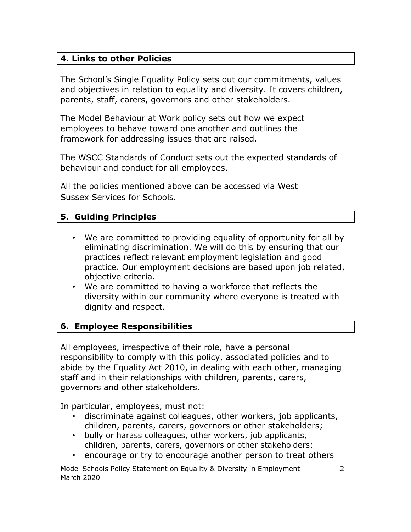#### **4. Links to other Policies**

The School's Single Equality Policy sets out our commitments, values and objectives in relation to equality and diversity. It covers children, parents, staff, carers, governors and other stakeholders.

The Model Behaviour at Work policy sets out how we expect employees to behave toward one another and outlines the framework for addressing issues that are raised.

The WSCC Standards of Conduct sets out the expected standards of behaviour and conduct for all employees.

All the policies mentioned above can be accessed via West Sussex Services for Schools.

#### **5. Guiding Principles**

- We are committed to providing equality of opportunity for all by eliminating discrimination. We will do this by ensuring that our practices reflect relevant employment legislation and good practice. Our employment decisions are based upon job related, objective criteria.
- We are committed to having a workforce that reflects the diversity within our community where everyone is treated with dignity and respect.

#### **6. Employee Responsibilities**

All employees, irrespective of their role, have a personal responsibility to comply with this policy, associated policies and to abide by the Equality Act 2010, in dealing with each other, managing staff and in their relationships with children, parents, carers, governors and other stakeholders.

In particular, employees, must not:

- discriminate against colleagues, other workers, job applicants, children, parents, carers, governors or other stakeholders;
- bully or harass colleagues, other workers, job applicants, children, parents, carers, governors or other stakeholders;
- encourage or try to encourage another person to treat others

Model Schools Policy Statement on Equality & Diversity in Employment 2 March 2020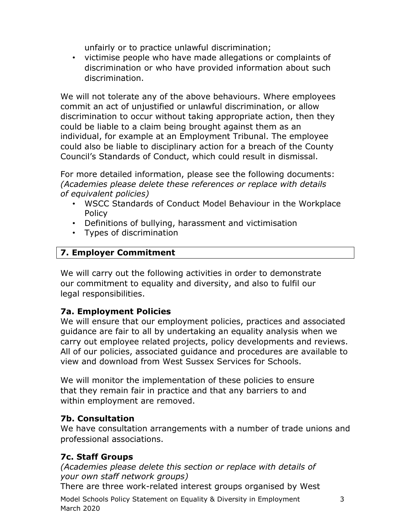unfairly or to practice unlawful discrimination;

• victimise people who have made allegations or complaints of discrimination or who have provided information about such discrimination.

We will not tolerate any of the above behaviours. Where employees commit an act of unjustified or unlawful discrimination, or allow discrimination to occur without taking appropriate action, then they could be liable to a claim being brought against them as an individual, for example at an Employment Tribunal. The employee could also be liable to disciplinary action for a breach of the County Council's Standards of Conduct, which could result in dismissal.

For more detailed information, please see the following documents: *(Academies please delete these references or replace with details of equivalent policies)*

- WSCC Standards of Conduct Model Behaviour in the Workplace Policy
- Definitions of bullying, harassment and victimisation
- Types of discrimination

## **7. Employer Commitment**

We will carry out the following activities in order to demonstrate our commitment to equality and diversity, and also to fulfil our legal responsibilities.

#### **7a. Employment Policies**

We will ensure that our employment policies, practices and associated guidance are fair to all by undertaking an equality analysis when we carry out employee related projects, policy developments and reviews. All of our policies, associated guidance and procedures are available to view and download from West Sussex Services for Schools.

We will monitor the implementation of these policies to ensure that they remain fair in practice and that any barriers to and within employment are removed.

#### **7b. Consultation**

We have consultation arrangements with a number of trade unions and professional associations.

#### **7c. Staff Groups**

*(Academies please delete this section or replace with details of your own staff network groups)*

There are three work-related interest groups organised by West

Model Schools Policy Statement on Equality & Diversity in Employment 3 March 2020